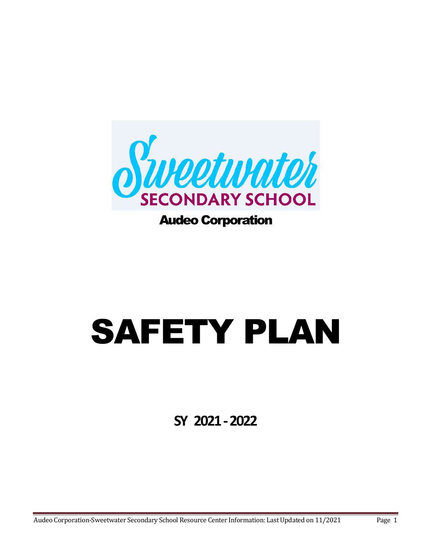

Audeo Corporation

## SAFETY PLAN

**SY 2021-2022**

Audeo Corporation-Sweetwater Secondary School Resource Center Information: Last Updated on 11/2021 Page 1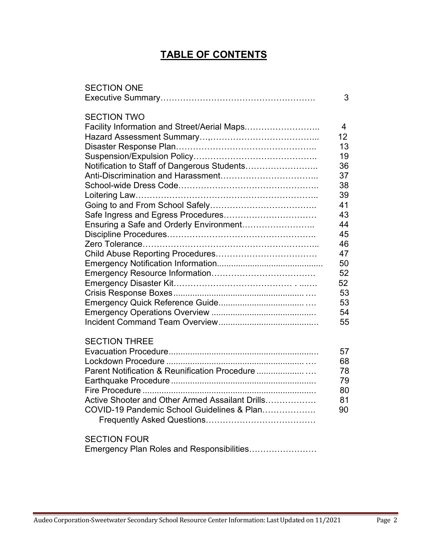## **TABLE OF CONTENTS**

| <b>SECTION ONE</b>                              | 3  |
|-------------------------------------------------|----|
| <b>SECTION TWO</b>                              |    |
| Facility Information and Street/Aerial Maps     | 4  |
|                                                 | 12 |
|                                                 | 13 |
|                                                 | 19 |
|                                                 |    |
| Notification to Staff of Dangerous Students     | 36 |
|                                                 | 37 |
|                                                 | 38 |
|                                                 | 39 |
|                                                 | 41 |
| Safe Ingress and Egress Procedures              | 43 |
| Ensuring a Safe and Orderly Environment         | 44 |
|                                                 | 45 |
|                                                 | 46 |
|                                                 | 47 |
|                                                 | 50 |
|                                                 | 52 |
|                                                 | 52 |
|                                                 | 53 |
|                                                 | 53 |
|                                                 | 54 |
|                                                 | 55 |
|                                                 |    |
| <b>SECTION THREE</b>                            |    |
|                                                 | 57 |
|                                                 | 68 |
| Parent Notification & Reunification Procedure   | 78 |
|                                                 | 79 |
|                                                 | 80 |
| Active Shooter and Other Armed Assailant Drills | 81 |
| COVID-19 Pandemic School Guidelines & Plan      | 90 |
|                                                 |    |
| <b>SECTION FOUR</b>                             |    |
| Emergency Plan Roles and Responsibilities       |    |
|                                                 |    |